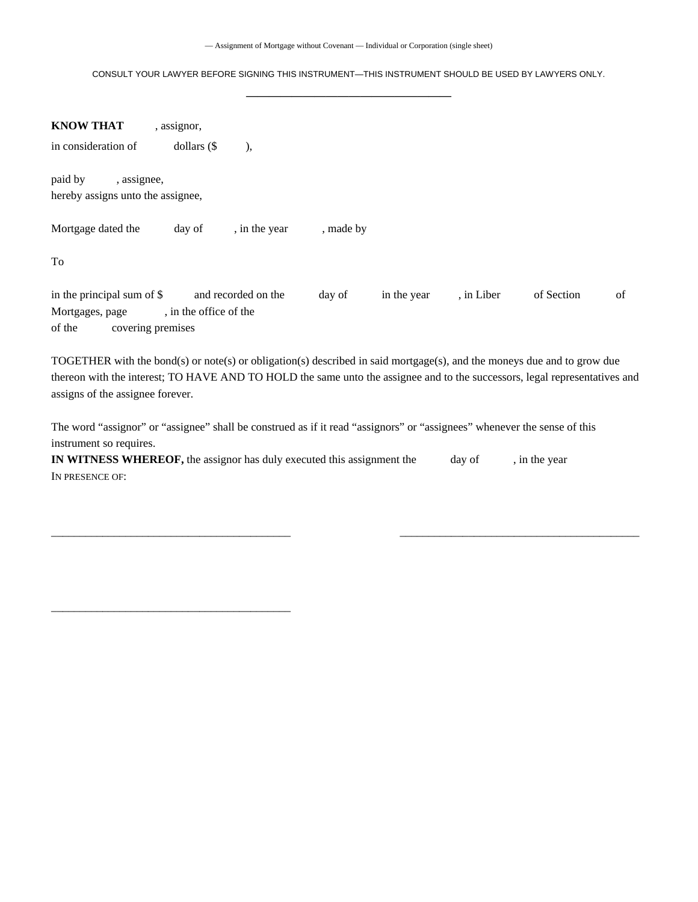CONSULT YOUR LAWYER BEFORE SIGNING THIS INSTRUMENT—THIS INSTRUMENT SHOULD BE USED BY LAWYERS ONLY. **——————————————————** 

| <b>KNOW THAT</b>                                                             | , assignor,            |                     |           |             |            |            |    |
|------------------------------------------------------------------------------|------------------------|---------------------|-----------|-------------|------------|------------|----|
| in consideration of                                                          | dollars $(\$$          | ),                  |           |             |            |            |    |
| paid by<br>, assignee,<br>hereby assigns unto the assignee,                  |                        |                     |           |             |            |            |    |
| Mortgage dated the                                                           | day of                 | , in the year       | , made by |             |            |            |    |
| To                                                                           |                        |                     |           |             |            |            |    |
| in the principal sum of \$<br>Mortgages, page<br>of the<br>covering premises | , in the office of the | and recorded on the | day of    | in the year | , in Liber | of Section | of |

TOGETHER with the bond(s) or note(s) or obligation(s) described in said mortgage(s), and the moneys due and to grow due thereon with the interest; TO HAVE AND TO HOLD the same unto the assignee and to the successors, legal representatives and assigns of the assignee forever.

 $\_$  , and the set of the set of the set of the set of the set of the set of the set of the set of the set of the set of the set of the set of the set of the set of the set of the set of the set of the set of the set of th

The word "assignor" or "assignee" shall be construed as if it read "assignors" or "assignees" whenever the sense of this instrument so requires.

| <b>IN WITNESS WHEREOF,</b> the assignor has duly executed this assignment the | day of | , in the year |
|-------------------------------------------------------------------------------|--------|---------------|
| IN PRESENCE OF:                                                               |        |               |

\_\_\_\_\_\_\_\_\_\_\_\_\_\_\_\_\_\_\_\_\_\_\_\_\_\_\_\_\_\_\_\_\_\_\_\_\_\_\_\_\_\_